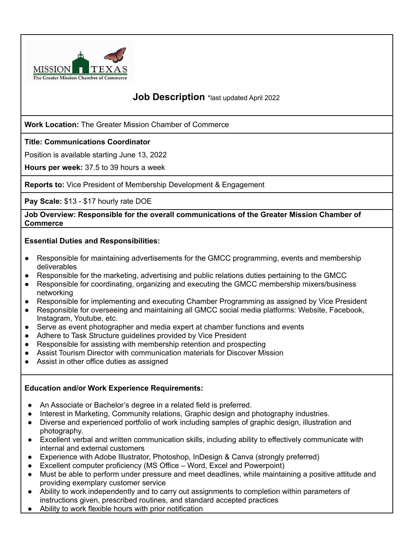

# **Job Description** \*last updated April 2022

**Work Location:** The Greater Mission Chamber of Commerce

## **Title: Communications Coordinator**

Position is available starting June 13, 2022

**Hours per week:** 37.5 to 39 hours a week

**Reports to:** Vice President of Membership Development & Engagement

**Pay Scale:** \$13 - \$17 hourly rate DOE

**Job Overview: Responsible for the overall communications of the Greater Mission Chamber of Commerce**

#### **Essential Duties and Responsibilities:**

- Responsible for maintaining advertisements for the GMCC programming, events and membership deliverables
- Responsible for the marketing, advertising and public relations duties pertaining to the GMCC
- Responsible for coordinating, organizing and executing the GMCC membership mixers/business networking
- Responsible for implementing and executing Chamber Programming as assigned by Vice President
- Responsible for overseeing and maintaining all GMCC social media platforms: Website, Facebook, Instagram, Youtube, etc.
- Serve as event photographer and media expert at chamber functions and events
- Adhere to Task Structure guidelines provided by Vice President
- Responsible for assisting with membership retention and prospecting
- Assist Tourism Director with communication materials for Discover Mission
- Assist in other office duties as assigned

### **Education and/or Work Experience Requirements:**

- An Associate or Bachelor's degree in a related field is preferred.
- Interest in Marketing, Community relations, Graphic design and photography industries.
- **●** Diverse and experienced portfolio of work including samples of graphic design, illustration and photography.
- **●** Excellent verbal and written communication skills, including ability to effectively communicate with internal and external customers
- Experience with Adobe Illustrator, Photoshop, InDesign & Canva (strongly preferred)
- Excellent computer proficiency (MS Office Word, Excel and Powerpoint)
- **●** Must be able to perform under pressure and meet deadlines, while maintaining a positive attitude and providing exemplary customer service
- Ability to work independently and to carry out assignments to completion within parameters of instructions given, prescribed routines, and standard accepted practices
- **●** Ability to work flexible hours with prior notification